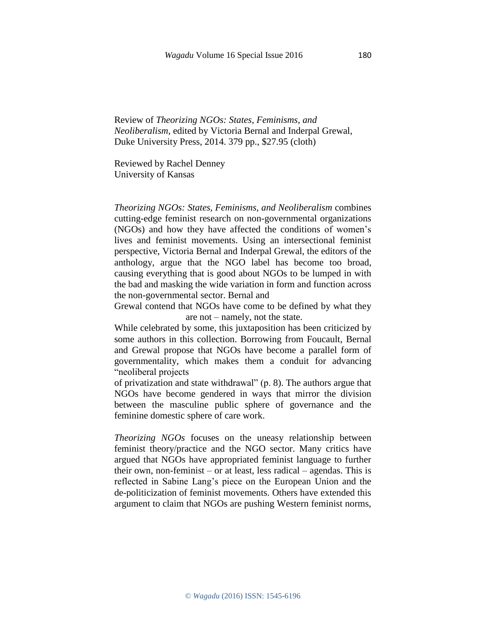Review of *Theorizing NGOs: States, Feminisms, and Neoliberalism*, edited by Victoria Bernal and Inderpal Grewal, Duke University Press, 2014. 379 pp., \$27.95 (cloth)

Reviewed by Rachel Denney University of Kansas

*Theorizing NGOs: States, Feminisms, and Neoliberalism* combines cutting-edge feminist research on non-governmental organizations (NGOs) and how they have affected the conditions of women's lives and feminist movements. Using an intersectional feminist perspective, Victoria Bernal and Inderpal Grewal, the editors of the anthology, argue that the NGO label has become too broad, causing everything that is good about NGOs to be lumped in with the bad and masking the wide variation in form and function across the non-governmental sector. Bernal and

Grewal contend that NGOs have come to be defined by what they are not – namely, not the state.

While celebrated by some, this juxtaposition has been criticized by some authors in this collection. Borrowing from Foucault, Bernal and Grewal propose that NGOs have become a parallel form of governmentality, which makes them a conduit for advancing "neoliberal projects

of privatization and state withdrawal" (p. 8). The authors argue that NGOs have become gendered in ways that mirror the division between the masculine public sphere of governance and the feminine domestic sphere of care work.

*Theorizing NGOs* focuses on the uneasy relationship between feminist theory/practice and the NGO sector. Many critics have argued that NGOs have appropriated feminist language to further their own, non-feminist – or at least, less radical – agendas. This is reflected in Sabine Lang's piece on the European Union and the de-politicization of feminist movements. Others have extended this argument to claim that NGOs are pushing Western feminist norms,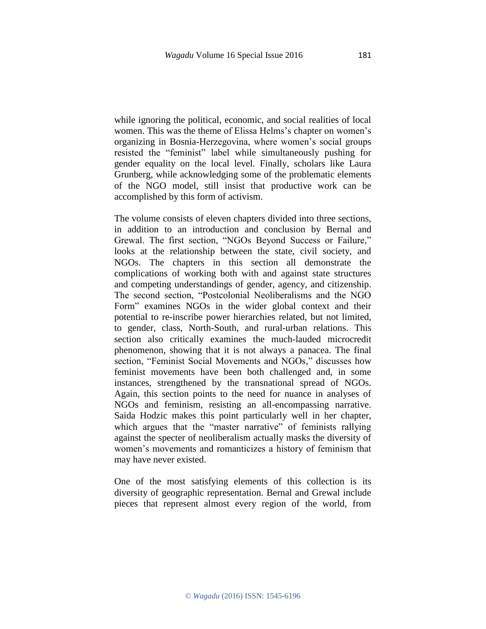while ignoring the political, economic, and social realities of local women. This was the theme of Elissa Helms's chapter on women's organizing in Bosnia-Herzegovina, where women's social groups resisted the "feminist" label while simultaneously pushing for gender equality on the local level. Finally, scholars like Laura Grunberg, while acknowledging some of the problematic elements of the NGO model, still insist that productive work can be accomplished by this form of activism.

The volume consists of eleven chapters divided into three sections, in addition to an introduction and conclusion by Bernal and Grewal. The first section, "NGOs Beyond Success or Failure," looks at the relationship between the state, civil society, and NGOs. The chapters in this section all demonstrate the complications of working both with and against state structures and competing understandings of gender, agency, and citizenship. The second section, "Postcolonial Neoliberalisms and the NGO Form" examines NGOs in the wider global context and their potential to re-inscribe power hierarchies related, but not limited, to gender, class, North-South, and rural-urban relations. This section also critically examines the much-lauded microcredit phenomenon, showing that it is not always a panacea. The final section, "Feminist Social Movements and NGOs," discusses how feminist movements have been both challenged and, in some instances, strengthened by the transnational spread of NGOs. Again, this section points to the need for nuance in analyses of NGOs and feminism, resisting an all-encompassing narrative. Saida Hodzic makes this point particularly well in her chapter, which argues that the "master narrative" of feminists rallying against the specter of neoliberalism actually masks the diversity of women's movements and romanticizes a history of feminism that may have never existed.

One of the most satisfying elements of this collection is its diversity of geographic representation. Bernal and Grewal include pieces that represent almost every region of the world, from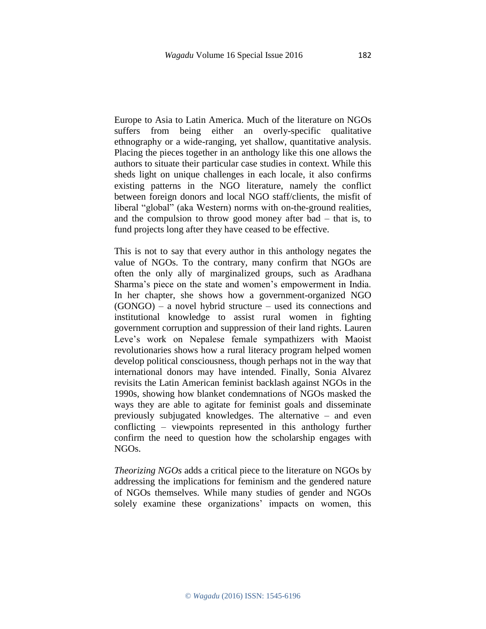Europe to Asia to Latin America. Much of the literature on NGOs suffers from being either an overly-specific qualitative ethnography or a wide-ranging, yet shallow, quantitative analysis. Placing the pieces together in an anthology like this one allows the authors to situate their particular case studies in context. While this sheds light on unique challenges in each locale, it also confirms existing patterns in the NGO literature, namely the conflict between foreign donors and local NGO staff/clients, the misfit of liberal "global" (aka Western) norms with on-the-ground realities, and the compulsion to throw good money after bad – that is, to fund projects long after they have ceased to be effective.

This is not to say that every author in this anthology negates the value of NGOs. To the contrary, many confirm that NGOs are often the only ally of marginalized groups, such as Aradhana Sharma's piece on the state and women's empowerment in India. In her chapter, she shows how a government-organized NGO (GONGO) – a novel hybrid structure – used its connections and institutional knowledge to assist rural women in fighting government corruption and suppression of their land rights. Lauren Leve's work on Nepalese female sympathizers with Maoist revolutionaries shows how a rural literacy program helped women develop political consciousness, though perhaps not in the way that international donors may have intended. Finally, Sonia Alvarez revisits the Latin American feminist backlash against NGOs in the 1990s, showing how blanket condemnations of NGOs masked the ways they are able to agitate for feminist goals and disseminate previously subjugated knowledges. The alternative – and even conflicting – viewpoints represented in this anthology further confirm the need to question how the scholarship engages with NGOs.

*Theorizing NGOs* adds a critical piece to the literature on NGOs by addressing the implications for feminism and the gendered nature of NGOs themselves. While many studies of gender and NGOs solely examine these organizations' impacts on women, this